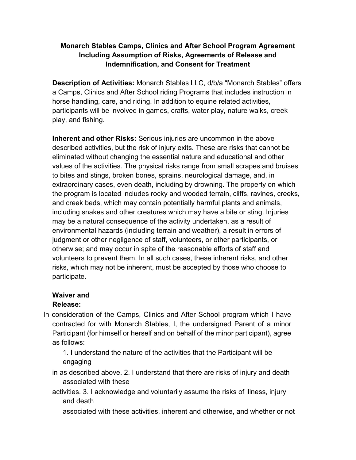## **Monarch Stables Camps, Clinics and After School Program Agreement Including Assumption of Risks, Agreements of Release and Indemnification, and Consent for Treatment**

**Description of Activities:** Monarch Stables LLC, d/b/a "Monarch Stables" offers a Camps, Clinics and After School riding Programs that includes instruction in horse handling, care, and riding. In addition to equine related activities, participants will be involved in games, crafts, water play, nature walks, creek play, and fishing.

**Inherent and other Risks:** Serious injuries are uncommon in the above described activities, but the risk of injury exits. These are risks that cannot be eliminated without changing the essential nature and educational and other values of the activities. The physical risks range from small scrapes and bruises to bites and stings, broken bones, sprains, neurological damage, and, in extraordinary cases, even death, including by drowning. The property on which the program is located includes rocky and wooded terrain, cliffs, ravines, creeks, and creek beds, which may contain potentially harmful plants and animals, including snakes and other creatures which may have a bite or sting. Injuries may be a natural consequence of the activity undertaken, as a result of environmental hazards (including terrain and weather), a result in errors of judgment or other negligence of staff, volunteers, or other participants, or otherwise; and may occur in spite of the reasonable efforts of staff and volunteers to prevent them. In all such cases, these inherent risks, and other risks, which may not be inherent, must be accepted by those who choose to participate.

## **Waiver and**

## **Release:**

In consideration of the Camps, Clinics and After School program which I have contracted for with Monarch Stables, I, the undersigned Parent of a minor Participant (for himself or herself and on behalf of the minor participant), agree as follows:

1. I understand the nature of the activities that the Participant will be engaging

- in as described above. 2. I understand that there are risks of injury and death associated with these
- activities. 3. I acknowledge and voluntarily assume the risks of illness, injury and death

associated with these activities, inherent and otherwise, and whether or not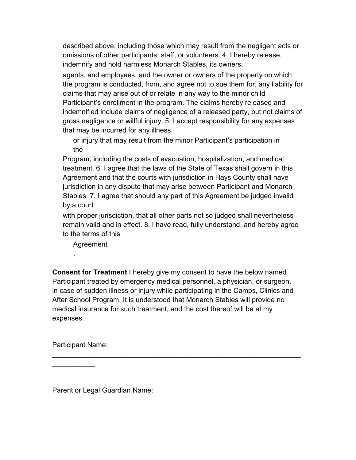described above, including those which may result from the negligent acts or omissions of other participants, staff, or volunteers. 4. I hereby release, indemnify and hold harmless Monarch Stables, its owners,

agents, and employees, and the owner or owners of the property on which the program is conducted, from, and agree not to sue them for, any liability for claims that may arise out of or relate in any way to the minor child Participant's enrollment in the program. The claims hereby released and indemnified include claims of negligence of a released party, but not claims of gross negligence or willful injury. 5. I accept responsibility for any expenses that may be incurred for any illness

or injury that may result from the minor Participant's participation in the

Program, including the costs of evacuation, hospitalization, and medical treatment. 6. I agree that the laws of the State of Texas shall govern in this Agreement and that the courts with jurisdiction in Hays County shall have jurisdiction in any dispute that may arise between Participant and Monarch Stables. 7. I agree that should any part of this Agreement be judged invalid by a court

with proper jurisdiction, that all other parts not so judged shall nevertheless remain valid and in effect. 8. I have read, fully understand, and hereby agree to the terms of this

Agreement

.

**Consent for Treatment** I hereby give my consent to have the below named Participant treated by emergency medical personnel, a physician, or surgeon, in case of sudden illness or injury while participating in the Camps, Clinics and After School Program. It is understood that Monarch Stables will provide no medical insurance for such treatment, and the cost thereof will be at my expenses.

\_\_\_\_\_\_\_\_\_\_\_\_\_\_\_\_\_\_\_\_\_\_\_\_\_\_\_\_\_\_\_\_\_\_\_\_\_\_\_\_\_\_\_\_\_\_\_\_\_\_\_\_\_\_\_\_\_\_\_\_\_\_\_\_

\_\_\_\_\_\_\_\_\_\_\_\_\_\_\_\_\_\_\_\_\_\_\_\_\_\_\_\_\_\_\_\_\_\_\_\_\_\_\_\_\_\_\_\_\_\_\_\_\_\_\_\_\_\_\_\_\_\_\_

Participant Name:

 $\overline{\phantom{a}}$ 

Parent or Legal Guardian Name: